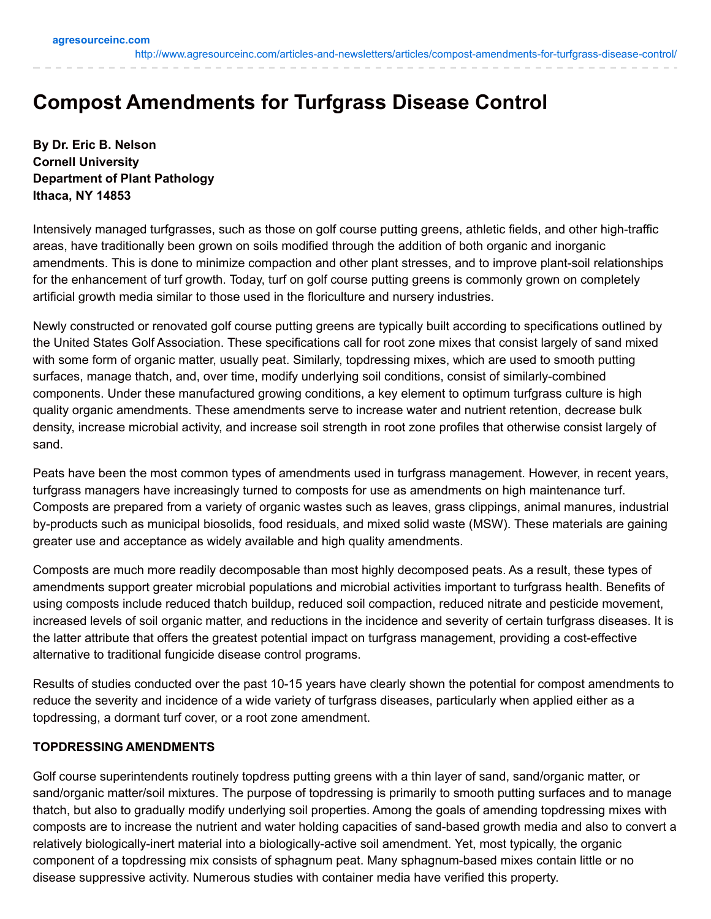<http://www.agresourceinc.com/articles-and-newsletters/articles/compost-amendments-for-turfgrass-disease-control/>

# **Compost Amendments for Turfgrass Disease Control**

**By Dr. Eric B. Nelson Cornell University Department of Plant Pathology Ithaca, NY 14853**

Intensively managed turfgrasses, such as those on golf course putting greens, athletic fields, and other high-traffic areas, have traditionally been grown on soils modified through the addition of both organic and inorganic amendments. This is done to minimize compaction and other plant stresses, and to improve plant-soil relationships for the enhancement of turf growth. Today, turf on golf course putting greens is commonly grown on completely artificial growth media similar to those used in the floriculture and nursery industries.

Newly constructed or renovated golf course putting greens are typically built according to specifications outlined by the United States Golf Association. These specifications call for root zone mixes that consist largely of sand mixed with some form of organic matter, usually peat. Similarly, topdressing mixes, which are used to smooth putting surfaces, manage thatch, and, over time, modify underlying soil conditions, consist of similarly-combined components. Under these manufactured growing conditions, a key element to optimum turfgrass culture is high quality organic amendments. These amendments serve to increase water and nutrient retention, decrease bulk density, increase microbial activity, and increase soil strength in root zone profiles that otherwise consist largely of sand.

Peats have been the most common types of amendments used in turfgrass management. However, in recent years, turfgrass managers have increasingly turned to composts for use as amendments on high maintenance turf. Composts are prepared from a variety of organic wastes such as leaves, grass clippings, animal manures, industrial by-products such as municipal biosolids, food residuals, and mixed solid waste (MSW). These materials are gaining greater use and acceptance as widely available and high quality amendments.

Composts are much more readily decomposable than most highly decomposed peats. As a result, these types of amendments support greater microbial populations and microbial activities important to turfgrass health. Benefits of using composts include reduced thatch buildup, reduced soil compaction, reduced nitrate and pesticide movement, increased levels of soil organic matter, and reductions in the incidence and severity of certain turfgrass diseases. It is the latter attribute that offers the greatest potential impact on turfgrass management, providing a cost-effective alternative to traditional fungicide disease control programs.

Results of studies conducted over the past 10-15 years have clearly shown the potential for compost amendments to reduce the severity and incidence of a wide variety of turfgrass diseases, particularly when applied either as a topdressing, a dormant turf cover, or a root zone amendment.

### **TOPDRESSING AMENDMENTS**

Golf course superintendents routinely topdress putting greens with a thin layer of sand, sand/organic matter, or sand/organic matter/soil mixtures. The purpose of topdressing is primarily to smooth putting surfaces and to manage thatch, but also to gradually modify underlying soil properties. Among the goals of amending topdressing mixes with composts are to increase the nutrient and water holding capacities of sand-based growth media and also to convert a relatively biologically-inert material into a biologically-active soil amendment. Yet, most typically, the organic component of a topdressing mix consists of sphagnum peat. Many sphagnum-based mixes contain little or no disease suppressive activity. Numerous studies with container media have verified this property.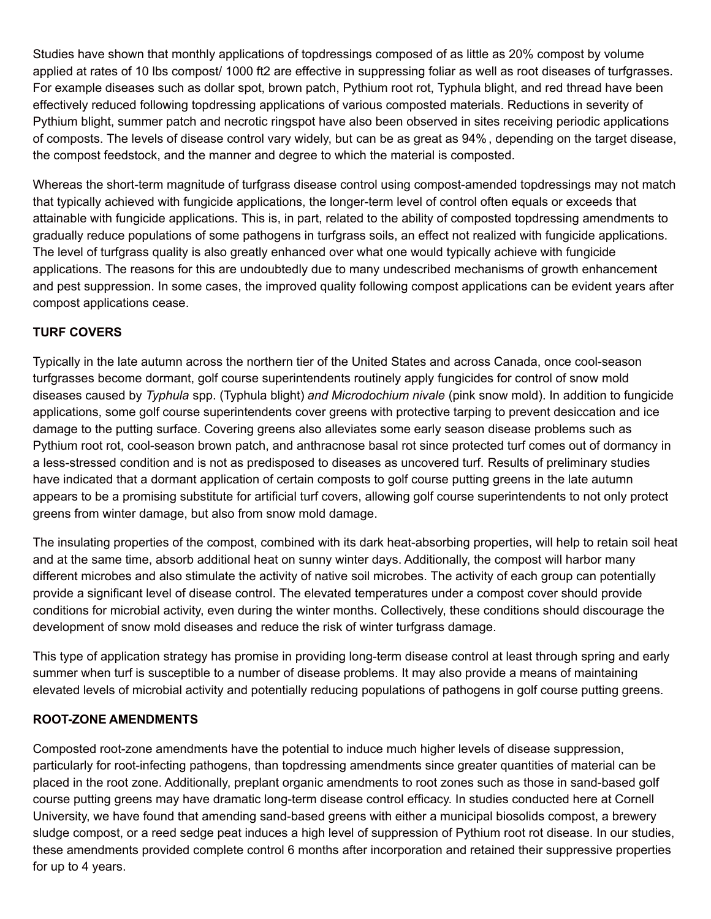Studies have shown that monthly applications of topdressings composed of as little as 20% compost by volume applied at rates of 10 lbs compost/ 1000 ft2 are effective in suppressing foliar as well as root diseases of turfgrasses. For example diseases such as dollar spot, brown patch, Pythium root rot, Typhula blight, and red thread have been effectively reduced following topdressing applications of various composted materials. Reductions in severity of Pythium blight, summer patch and necrotic ringspot have also been observed in sites receiving periodic applications of composts. The levels of disease control vary widely, but can be as great as 94% , depending on the target disease, the compost feedstock, and the manner and degree to which the material is composted.

Whereas the short-term magnitude of turfgrass disease control using compost-amended topdressings may not match that typically achieved with fungicide applications, the longer-term level of control often equals or exceeds that attainable with fungicide applications. This is, in part, related to the ability of composted topdressing amendments to gradually reduce populations of some pathogens in turfgrass soils, an effect not realized with fungicide applications. The level of turfgrass quality is also greatly enhanced over what one would typically achieve with fungicide applications. The reasons for this are undoubtedly due to many undescribed mechanisms of growth enhancement and pest suppression. In some cases, the improved quality following compost applications can be evident years after compost applications cease.

## **TURF COVERS**

Typically in the late autumn across the northern tier of the United States and across Canada, once cool-season turfgrasses become dormant, golf course superintendents routinely apply fungicides for control of snow mold diseases caused by *Typhula* spp. (Typhula blight) *and Microdochium nivale* (pink snow mold). In addition to fungicide applications, some golf course superintendents cover greens with protective tarping to prevent desiccation and ice damage to the putting surface. Covering greens also alleviates some early season disease problems such as Pythium root rot, cool-season brown patch, and anthracnose basal rot since protected turf comes out of dormancy in a less-stressed condition and is not as predisposed to diseases as uncovered turf. Results of preliminary studies have indicated that a dormant application of certain composts to golf course putting greens in the late autumn appears to be a promising substitute for artificial turf covers, allowing golf course superintendents to not only protect greens from winter damage, but also from snow mold damage.

The insulating properties of the compost, combined with its dark heat-absorbing properties, will help to retain soil heat and at the same time, absorb additional heat on sunny winter days. Additionally, the compost will harbor many different microbes and also stimulate the activity of native soil microbes. The activity of each group can potentially provide a significant level of disease control. The elevated temperatures under a compost cover should provide conditions for microbial activity, even during the winter months. Collectively, these conditions should discourage the development of snow mold diseases and reduce the risk of winter turfgrass damage.

This type of application strategy has promise in providing long-term disease control at least through spring and early summer when turf is susceptible to a number of disease problems. It may also provide a means of maintaining elevated levels of microbial activity and potentially reducing populations of pathogens in golf course putting greens.

### **ROOT-ZONE AMENDMENTS**

Composted root-zone amendments have the potential to induce much higher levels of disease suppression, particularly for root-infecting pathogens, than topdressing amendments since greater quantities of material can be placed in the root zone. Additionally, preplant organic amendments to root zones such as those in sand-based golf course putting greens may have dramatic long-term disease control efficacy. In studies conducted here at Cornell University, we have found that amending sand-based greens with either a municipal biosolids compost, a brewery sludge compost, or a reed sedge peat induces a high level of suppression of Pythium root rot disease. In our studies, these amendments provided complete control 6 months after incorporation and retained their suppressive properties for up to 4 years.